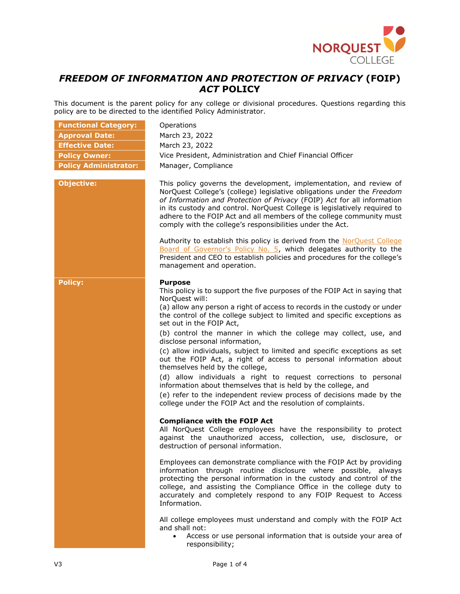

## *FREEDOM OF INFORMATION AND PROTECTION OF PRIVACY* **(FOIP)**  *ACT* **POLICY**

This document is the parent policy for any college or divisional procedures. Questions regarding this policy are to be directed to the identified Policy Administrator.

| <b>Functional Category:</b>  | Operations                                                                                                                                                                                                                                                                                                                                                                                                                                                                                                                                                                                                                                                             |
|------------------------------|------------------------------------------------------------------------------------------------------------------------------------------------------------------------------------------------------------------------------------------------------------------------------------------------------------------------------------------------------------------------------------------------------------------------------------------------------------------------------------------------------------------------------------------------------------------------------------------------------------------------------------------------------------------------|
| <b>Approval Date:</b>        | March 23, 2022                                                                                                                                                                                                                                                                                                                                                                                                                                                                                                                                                                                                                                                         |
| <b>Effective Date:</b>       | March 23, 2022                                                                                                                                                                                                                                                                                                                                                                                                                                                                                                                                                                                                                                                         |
| <b>Policy Owner:</b>         | Vice President, Administration and Chief Financial Officer                                                                                                                                                                                                                                                                                                                                                                                                                                                                                                                                                                                                             |
| <b>Policy Administrator:</b> | Manager, Compliance                                                                                                                                                                                                                                                                                                                                                                                                                                                                                                                                                                                                                                                    |
| <b>Objective:</b>            | This policy governs the development, implementation, and review of<br>NorQuest College's (college) legislative obligations under the Freedom<br>of Information and Protection of Privacy (FOIP) Act for all information<br>in its custody and control. NorQuest College is legislatively required to<br>adhere to the FOIP Act and all members of the college community must<br>comply with the college's responsibilities under the Act.<br>Authority to establish this policy is derived from the NorQuest College<br>Board of Governor's Policy No. 5, which delegates authority to the<br>President and CEO to establish policies and procedures for the college's |
| <b>Policy:</b>               | management and operation.<br><b>Purpose</b><br>This policy is to support the five purposes of the FOIP Act in saying that                                                                                                                                                                                                                                                                                                                                                                                                                                                                                                                                              |
|                              | NorQuest will:<br>(a) allow any person a right of access to records in the custody or under<br>the control of the college subject to limited and specific exceptions as<br>set out in the FOIP Act,                                                                                                                                                                                                                                                                                                                                                                                                                                                                    |
|                              | (b) control the manner in which the college may collect, use, and<br>disclose personal information,                                                                                                                                                                                                                                                                                                                                                                                                                                                                                                                                                                    |
|                              | (c) allow individuals, subject to limited and specific exceptions as set<br>out the FOIP Act, a right of access to personal information about<br>themselves held by the college,                                                                                                                                                                                                                                                                                                                                                                                                                                                                                       |
|                              | (d) allow individuals a right to request corrections to personal<br>information about themselves that is held by the college, and                                                                                                                                                                                                                                                                                                                                                                                                                                                                                                                                      |
|                              | (e) refer to the independent review process of decisions made by the<br>college under the FOIP Act and the resolution of complaints.                                                                                                                                                                                                                                                                                                                                                                                                                                                                                                                                   |
|                              | <b>Compliance with the FOIP Act</b><br>All NorQuest College employees have the responsibility to protect<br>against the unauthorized access, collection, use, disclosure, or<br>destruction of personal information.                                                                                                                                                                                                                                                                                                                                                                                                                                                   |
|                              | Employees can demonstrate compliance with the FOIP Act by providing<br>information through routine disclosure where possible, always<br>protecting the personal information in the custody and control of the<br>college, and assisting the Compliance Office in the college duty to<br>accurately and completely respond to any FOIP Request to Access<br>Information.                                                                                                                                                                                                                                                                                                |
|                              | All college employees must understand and comply with the FOIP Act<br>and shall not:<br>$\bullet$                                                                                                                                                                                                                                                                                                                                                                                                                                                                                                                                                                      |
|                              | Access or use personal information that is outside your area of<br>responsibility;                                                                                                                                                                                                                                                                                                                                                                                                                                                                                                                                                                                     |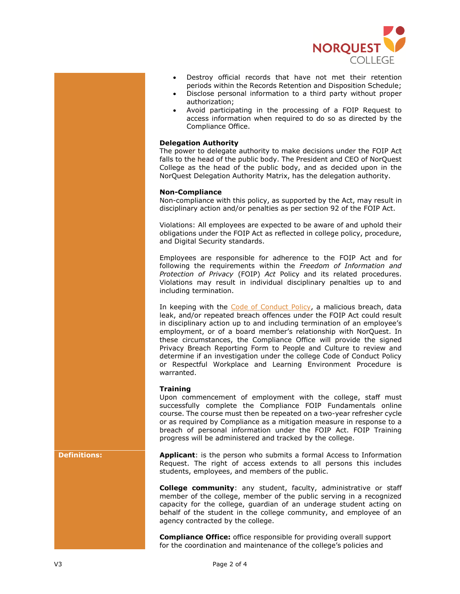

- Destroy official records that have not met their retention periods within the Records Retention and Disposition Schedule;
- Disclose personal information to a third party without proper authorization;
- Avoid participating in the processing of a FOIP Request to access information when required to do so as directed by the Compliance Office.

## **Delegation Authority**

The power to delegate authority to make decisions under the FOIP Act falls to the head of the public body. The President and CEO of NorQuest College as the head of the public body, and as decided upon in the NorQuest Delegation Authority Matrix, has the delegation authority.

## **Non-Compliance**

Non-compliance with this policy, as supported by the Act, may result in disciplinary action and/or penalties as per section 92 of the FOIP Act.

Violations: All employees are expected to be aware of and uphold their obligations under the FOIP Act as reflected in college policy, procedure, and Digital Security standards.

Employees are responsible for adherence to the FOIP Act and for following the requirements within the *Freedom of Information and Protection of Privacy* (FOIP) *Act* Policy and its related procedures. Violations may result in individual disciplinary penalties up to and including termination.

In keeping with the [Code of Conduct Policy,](https://www.norquest.ca/about-us/policies-procedures/human-resources/code-of-conduct-policy.aspx) a malicious breach, data leak, and/or repeated breach offences under the FOIP Act could result in disciplinary action up to and including termination of an employee's employment, or of a board member's relationship with NorQuest. In these circumstances, the Compliance Office will provide the signed Privacy Breach Reporting Form to People and Culture to review and determine if an investigation under the college Code of Conduct Policy or Respectful Workplace and Learning Environment Procedure is warranted.

## **Training**

Upon commencement of employment with the college, staff must successfully complete the Compliance FOIP Fundamentals online course. The course must then be repeated on a two-year refresher cycle or as required by Compliance as a mitigation measure in response to a breach of personal information under the FOIP Act. FOIP Training progress will be administered and tracked by the college.

**Definitions: Applicant**: is the person who submits a formal Access to Information Request. The right of access extends to all persons this includes students, employees, and members of the public.

> **College community**: any student, faculty, administrative or staff member of the college, member of the public serving in a recognized capacity for the college, guardian of an underage student acting on behalf of the student in the college community, and employee of an agency contracted by the college.

**Compliance Office:** office responsible for providing overall support for the coordination and maintenance of the college's policies and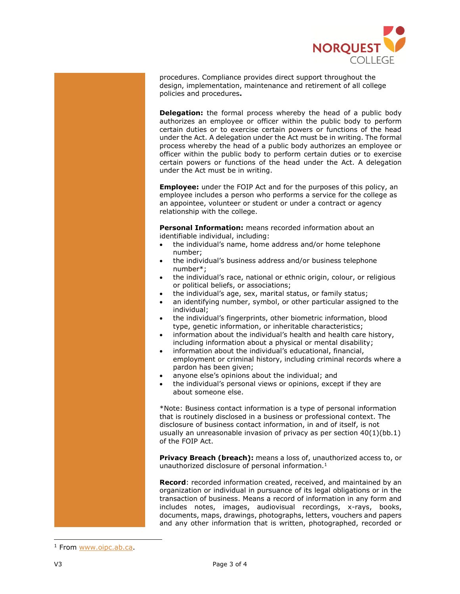

procedures. Compliance provides direct support throughout the design, implementation, maintenance and retirement of all college policies and procedures**.**

**Delegation:** the formal process whereby the head of a public body authorizes an employee or officer within the public body to perform certain duties or to exercise certain powers or functions of the head under the Act. A delegation under the Act must be in writing. The formal process whereby the head of a public body authorizes an employee or officer within the public body to perform certain duties or to exercise certain powers or functions of the head under the Act. A delegation under the Act must be in writing.

**Employee:** under the FOIP Act and for the purposes of this policy, an employee includes a person who performs a service for the college as an appointee, volunteer or student or under a contract or agency relationship with the college.

**Personal Information:** means recorded information about an identifiable individual, including:

- the individual's name, home address and/or home telephone number;
- the individual's business address and/or business telephone number\*;
- the individual's race, national or ethnic origin, colour, or religious or political beliefs, or associations;
- the individual's age, sex, marital status, or family status;
- an identifying number, symbol, or other particular assigned to the individual;
- the individual's fingerprints, other biometric information, blood type, genetic information, or inheritable characteristics;
- information about the individual's health and health care history, including information about a physical or mental disability;
- information about the individual's educational, financial, employment or criminal history, including criminal records where a pardon has been given;
- anyone else's opinions about the individual; and
- the individual's personal views or opinions, except if they are about someone else.

\*Note: Business contact information is a type of personal information that is routinely disclosed in a business or professional context. The disclosure of business contact information, in and of itself, is not usually an unreasonable invasion of privacy as per section 40(1)(bb.1) of the FOIP Act.

**Privacy Breach (breach):** means a loss of, unauthorized access to, or unauthorized disclosure of personal information.<sup>1</sup>

**Record**: recorded information created, received, and maintained by an organization or individual in pursuance of its legal obligations or in the transaction of business. Means a record of information in any form and includes notes, images, audiovisual recordings, x-rays, books, documents, maps, drawings, photographs, letters, vouchers and papers and any other information that is written, photographed, recorded or

ł

<sup>&</sup>lt;sup>1</sup> From [www.oipc.ab.ca.](http://www.oipc.ab.ca/)